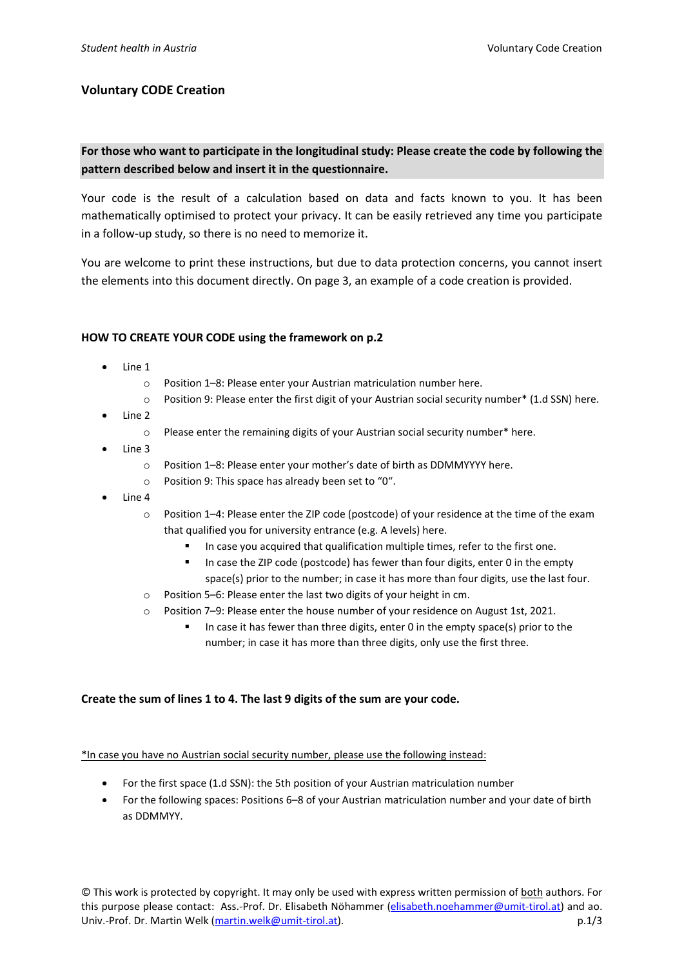## Voluntary CODE Creation

# For those who want to participate in the longitudinal study: Please create the code by following the pattern described below and insert it in the questionnaire.

Your code is the result of a calculation based on data and facts known to you. It has been mathematically optimised to protect your privacy. It can be easily retrieved any time you participate in a follow-up study, so there is no need to memorize it.

You are welcome to print these instructions, but due to data protection concerns, you cannot insert the elements into this document directly. On page 3, an example of a code creation is provided.

#### HOW TO CREATE YOUR CODE using the framework on p.2

- Line 1
	- o Position 1–8: Please enter your Austrian matriculation number here.
	- $\circ$  Position 9: Please enter the first digit of your Austrian social security number\* (1.d SSN) here.
- Line 2
	- o Please enter the remaining digits of your Austrian social security number\* here.
- Line 3
	- o Position 1–8: Please enter your mother's date of birth as DDMMYYYY here.
	- o Position 9: This space has already been set to "0".
- Line 4
	- o Position 1–4: Please enter the ZIP code (postcode) of your residence at the time of the exam that qualified you for university entrance (e.g. A levels) here.
		- **IF In case you acquired that qualification multiple times, refer to the first one.**
		- In case the ZIP code (postcode) has fewer than four digits, enter 0 in the empty space(s) prior to the number; in case it has more than four digits, use the last four.
	- o Position 5–6: Please enter the last two digits of your height in cm.
	- $\circ$  Position 7–9: Please enter the house number of your residence on August 1st, 2021.
		- In case it has fewer than three digits, enter 0 in the empty space(s) prior to the number; in case it has more than three digits, only use the first three.

### Create the sum of lines 1 to 4. The last 9 digits of the sum are your code.

#### \*In case you have no Austrian social security number, please use the following instead:

- For the first space (1.d SSN): the 5th position of your Austrian matriculation number
- For the following spaces: Positions 6–8 of your Austrian matriculation number and your date of birth as DDMMYY.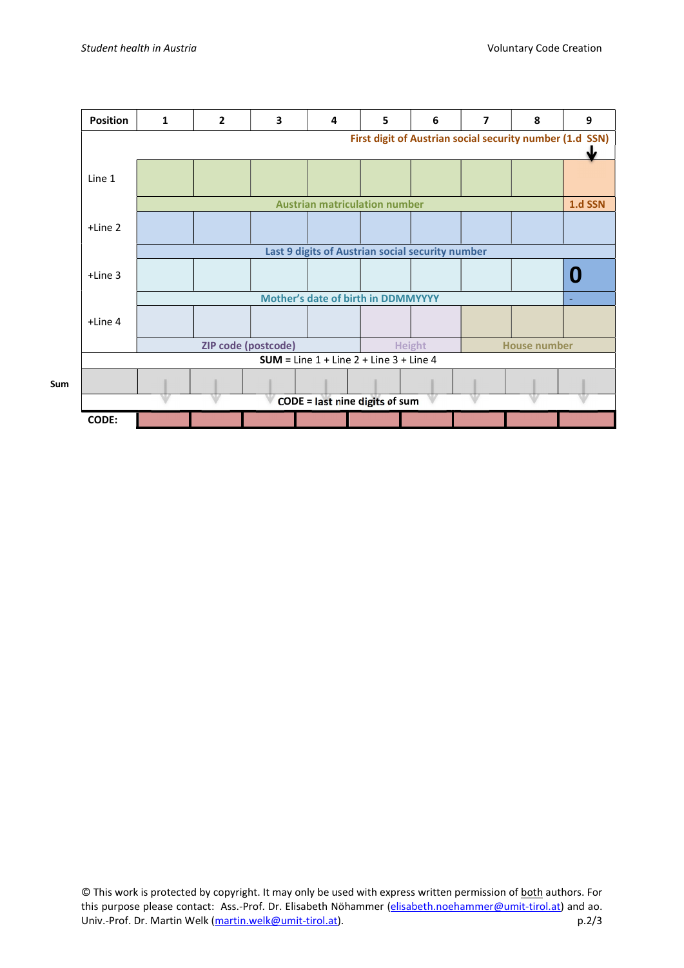